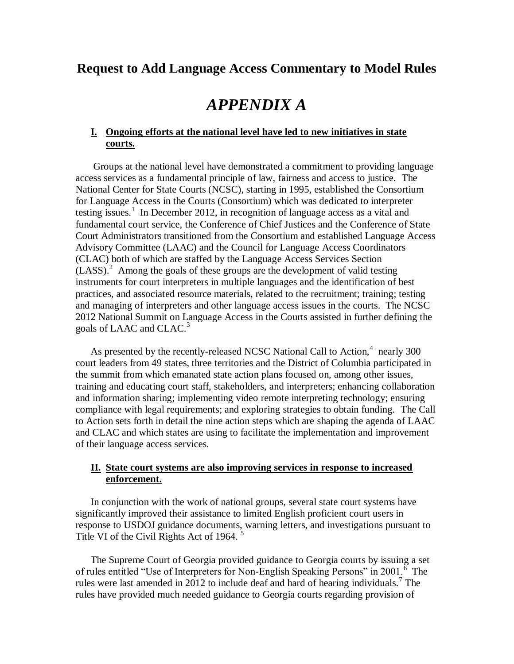## **Request to Add Language Access Commentary to Model Rules**

# *APPENDIX A*

### **I. Ongoing efforts at the national level have led to new initiatives in state courts.**

Groups at the national level have demonstrated a commitment to providing language access services as a fundamental principle of law, fairness and access to justice. The National Center for State Courts (NCSC), starting in 1995, established the Consortium for Language Access in the Courts (Consortium) which was dedicated to interpreter testing issues.<sup>1</sup> In December 2012, in recognition of language access as a vital and fundamental court service, the Conference of Chief Justices and the Conference of State Court Administrators transitioned from the Consortium and established Language Access Advisory Committee (LAAC) and the Council for Language Access Coordinators (CLAC) both of which are staffed by the Language Access Services Section  $(LASS)$ .<sup>2</sup> Among the goals of these groups are the development of valid testing instruments for court interpreters in multiple languages and the identification of best practices, and associated resource materials, related to the recruitment; training; testing and managing of interpreters and other language access issues in the courts. The NCSC 2012 National Summit on Language Access in the Courts assisted in further defining the goals of LAAC and CLAC.<sup>3</sup>

As presented by the recently-released NCSC National Call to Action, $4$  nearly 300 court leaders from 49 states, three territories and the District of Columbia participated in the summit from which emanated state action plans focused on, among other issues, training and educating court staff, stakeholders, and interpreters; enhancing collaboration and information sharing; implementing video remote interpreting technology; ensuring compliance with legal requirements; and exploring strategies to obtain funding. The Call to Action sets forth in detail the nine action steps which are shaping the agenda of LAAC and CLAC and which states are using to facilitate the implementation and improvement of their language access services.

### **II. State court systems are also improving services in response to increased enforcement.**

In conjunction with the work of national groups, several state court systems have significantly improved their assistance to limited English proficient court users in response to USDOJ guidance documents, warning letters, and investigations pursuant to Title VI of the Civil Rights Act of 1964.<sup>5</sup>

The Supreme Court of Georgia provided guidance to Georgia courts by issuing a set of rules entitled "Use of Interpreters for Non-English Speaking Persons" in 2001.<sup> $\overline{6}$ </sup> The rules were last amended in 2012 to include deaf and hard of hearing individuals.<sup>7</sup> The rules have provided much needed guidance to Georgia courts regarding provision of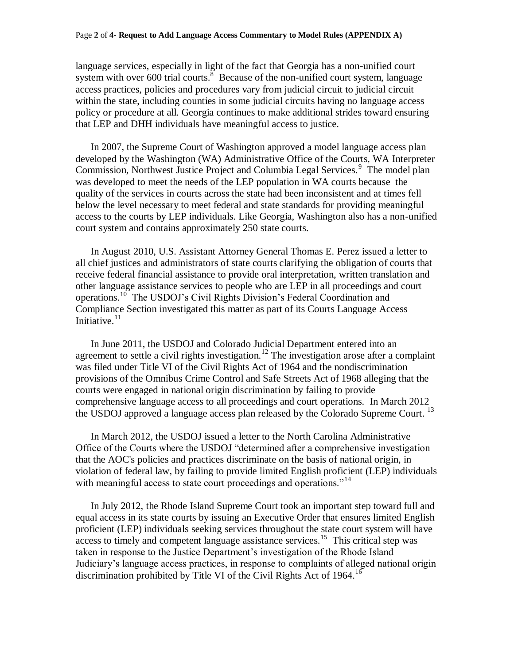#### Page **2** of **4- Request to Add Language Access Commentary to Model Rules (APPENDIX A)**

language services, especially in light of the fact that Georgia has a non-unified court system with over  $600$  trial courts.<sup>8</sup> Because of the non-unified court system, language access practices, policies and procedures vary from judicial circuit to judicial circuit within the state, including counties in some judicial circuits having no language access policy or procedure at all. Georgia continues to make additional strides toward ensuring that LEP and DHH individuals have meaningful access to justice.

In 2007, the Supreme Court of Washington approved a model language access plan developed by the Washington (WA) Administrative Office of the Courts, WA Interpreter Commission, Northwest Justice Project and Columbia Legal Services.<sup>9</sup> The model plan was developed to meet the needs of the LEP population in WA courts because the quality of the services in courts across the state had been inconsistent and at times fell below the level necessary to meet federal and state standards for providing meaningful access to the courts by LEP individuals. Like Georgia, Washington also has a non-unified court system and contains approximately 250 state courts.

In August 2010, U.S. Assistant Attorney General Thomas E. Perez issued a letter to all chief justices and administrators of state courts clarifying the obligation of courts that receive federal financial assistance to provide oral interpretation, written translation and other language assistance services to people who are LEP in all proceedings and court operations.<sup>10</sup> The USDOJ's Civil Rights Division's Federal Coordination and Compliance Section investigated this matter as part of its Courts Language Access Initiative. $11$ 

In June 2011, the USDOJ and Colorado Judicial Department entered into an agreement to settle a civil rights investigation.<sup>12</sup> The investigation arose after a complaint was filed under Title VI of the Civil Rights Act of 1964 and the nondiscrimination provisions of the Omnibus Crime Control and Safe Streets Act of 1968 alleging that the courts were engaged in national origin discrimination by failing to provide comprehensive language access to all proceedings and court operations. In March 2012 the USDOJ approved a language access plan released by the Colorado Supreme Court*.*  13

In March 2012, the USDOJ issued a letter to the North Carolina Administrative Office of the Courts where the USDOJ "determined after a comprehensive investigation that the AOC's policies and practices discriminate on the basis of national origin, in violation of federal law, by failing to provide limited English proficient (LEP) individuals with meaningful access to state court proceedings and operations."<sup>14</sup>

In July 2012, the Rhode Island Supreme Court took an important step toward full and equal access in its state courts by issuing an Executive Order that ensures limited English proficient (LEP) individuals seeking services throughout the state court system will have  $\frac{15}{15}$  access to timely and competent language assistance services.<sup>15</sup> This critical step was taken in response to the Justice Department's investigation of the Rhode Island Judiciary's language access practices, in response to complaints of alleged national origin discrimination prohibited by Title VI of the Civil Rights Act of 1964.<sup>16</sup>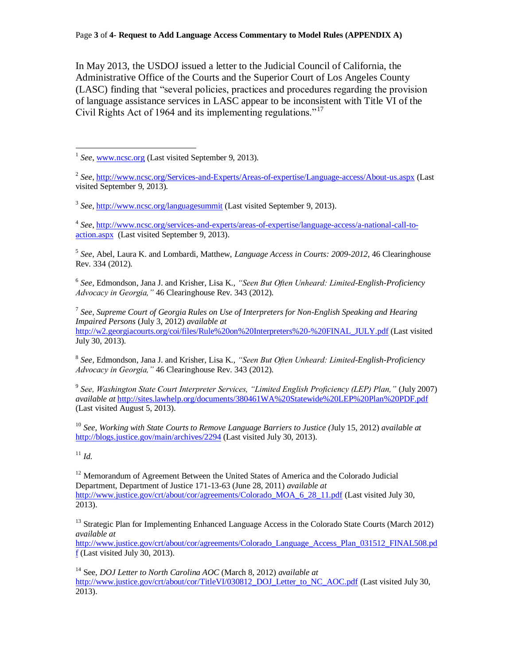In May 2013, the USDOJ issued a letter to the Judicial Council of California, the Administrative Office of the Courts and the Superior Court of Los Angeles County (LASC) finding that "several policies, practices and procedures regarding the provision of language assistance services in LASC appear to be inconsistent with Title VI of the Civil Rights Act of 1964 and its implementing regulations."<sup>17</sup>

<sup>3</sup> See[, http://www.ncsc.org/languagesummit](http://www.ncsc.org/languagesummit) (Last visited September 9, 2013).

4 *See*[, http://www.ncsc.org/services-and-experts/areas-of-expertise/language-access/a-national-call-to](http://www.ncsc.org/services-and-experts/areas-of-expertise/language-access/a-national-call-to-action.aspx)[action.aspx](http://www.ncsc.org/services-and-experts/areas-of-expertise/language-access/a-national-call-to-action.aspx) (Last visited September 9, 2013).

5 *See*, Abel, Laura K. and Lombardi, Matthew, *Language Access in Courts: 2009-2012*, 46 Clearinghouse Rev. 334 (2012).

6 *See,* Edmondson, Jana J. and Krisher, Lisa K., *"Seen But Often Unheard: Limited-English-Proficiency Advocacy in Georgia,"* 46 Clearinghouse Rev. 343 (2012).

7 *See*, *Supreme Court of Georgia Rules on Use of Interpreters for Non-English Speaking and Hearing Impaired Persons* (July 3, 2012) *available at* [http://w2.georgiacourts.org/coi/files/Rule%20on%20Interpreters%20-%20FINAL\\_JULY.pdf](http://w2.georgiacourts.org/coi/files/Rule%20on%20Interpreters%20-%20FINAL_JULY.pdf) (Last visited July 30, 2013).

8 *See,* Edmondson, Jana J. and Krisher, Lisa K., *"Seen But Often Unheard: Limited-English-Proficiency Advocacy in Georgia,"* 46 Clearinghouse Rev. 343 (2012).

9 *See, Washington State Court Interpreter Services, "Limited English Proficiency (LEP) Plan,"* (July 2007) *available at* <http://sites.lawhelp.org/documents/380461WA%20Statewide%20LEP%20Plan%20PDF.pdf> (Last visited August 5, 2013).

<sup>10</sup> *See*, *Working with State Courts to Remove Language Barriers to Justice (*July 15, 2012) *available at* <http://blogs.justice.gov/main/archives/2294> (Last visited July 30, 2013).

#### $11 \, H$

<sup>12</sup> Memorandum of Agreement Between the United States of America and the Colorado Judicial Department, Department of Justice 171-13-63 (June 28, 2011) *available at* [http://www.justice.gov/crt/about/cor/agreements/Colorado\\_MOA\\_6\\_28\\_11.pdf](http://www.justice.gov/crt/about/cor/agreements/Colorado_MOA_6_28_11.pdf) (Last visited July 30, 2013).

<sup>13</sup> Strategic Plan for Implementing Enhanced Language Access in the Colorado State Courts (March 2012) *available at*

[http://www.justice.gov/crt/about/cor/agreements/Colorado\\_Language\\_Access\\_Plan\\_031512\\_FINAL508.pd](http://www.justice.gov/crt/about/cor/agreements/Colorado_Language_Access_Plan_031512_FINAL508.pdf) [f](http://www.justice.gov/crt/about/cor/agreements/Colorado_Language_Access_Plan_031512_FINAL508.pdf) (Last visited July 30, 2013).

<sup>14</sup> See, *DOJ Letter to North Carolina AOC* (March 8, 2012) *available at* [http://www.justice.gov/crt/about/cor/TitleVI/030812\\_DOJ\\_Letter\\_to\\_NC\\_AOC.pdf](http://www.justice.gov/crt/about/cor/TitleVI/030812_DOJ_Letter_to_NC_AOC.pdf) (Last visited July 30, 2013).

 $\overline{a}$ <sup>1</sup> See[, www.ncsc.org](http://www.ncsc.org/) (Last visited September 9, 2013).

<sup>2</sup> *See*[, http://www.ncsc.org/Services-and-Experts/Areas-of-expertise/Language-access/About-us.aspx](http://www.ncsc.org/Services-and-Experts/Areas-of-expertise/Language-access/About-us.aspx) (Last visited September 9, 2013).